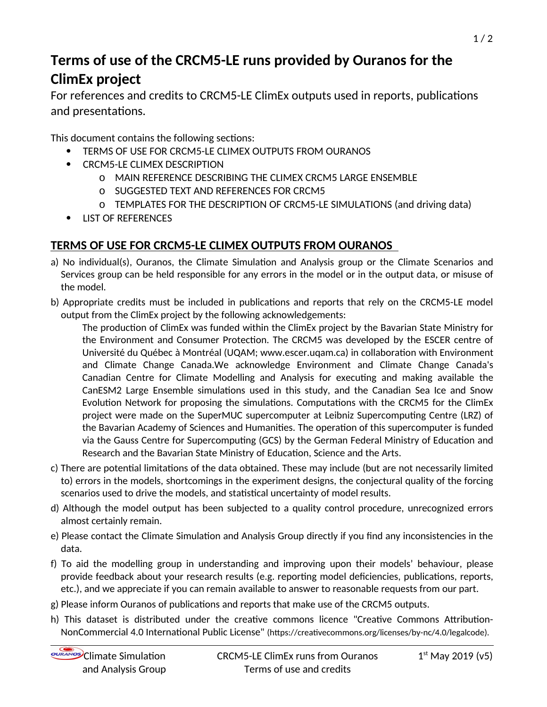## **Terms of use of the CRCM5-LE runs provided by Ouranos for the ClimEx project**

For references and credits to CRCM5-LE ClimEx outputs used in reports, publications and presentations.

This document contains the following sections:

- TERMS OF USE FOR CRCM5-LE CLIMEX OUTPUTS FROM OURANOS
- CRCM5-LE CLIMEX DESCRIPTION
	- o MAIN REFERENCE DESCRIBING THE CLIMEX CRCM5 LARGE ENSEMBLE
	- o SUGGESTED TEXT AND REFERENCES FOR CRCM5
	- o TEMPLATES FOR THE DESCRIPTION OF CRCM5-LE SIMULATIONS (and driving data)
- **LIST OF REFERENCES**

## **TERMS OF USE FOR CRCM5-LE CLIMEX OUTPUTS FROM OURANOS**

- a) No individual(s), Ouranos, the Climate Simulation and Analysis group or the Climate Scenarios and Services group can be held responsible for any errors in the model or in the output data, or misuse of the model.
- b) Appropriate credits must be included in publications and reports that rely on the CRCM5-LE model output from the ClimEx project by the following acknowledgements:

The production of ClimEx was funded within the ClimEx project by the Bavarian State Ministry for the Environment and Consumer Protection. The CRCM5 was developed by the ESCER centre of Université du Québec à Montréal (UQAM; www.escer.uqam.ca) in collaboration with Environment and Climate Change Canada.We acknowledge Environment and Climate Change Canada's Canadian Centre for Climate Modelling and Analysis for executing and making available the CanESM2 Large Ensemble simulations used in this study, and the Canadian Sea Ice and Snow Evolution Network for proposing the simulations. Computations with the CRCM5 for the ClimEx project were made on the SuperMUC supercomputer at Leibniz Supercomputing Centre (LRZ) of the Bavarian Academy of Sciences and Humanities. The operation of this supercomputer is funded via the Gauss Centre for Supercomputing (GCS) by the German Federal Ministry of Education and Research and the Bavarian State Ministry of Education, Science and the Arts.

- c) There are potential limitations of the data obtained. These may include (but are not necessarily limited to) errors in the models, shortcomings in the experiment designs, the conjectural quality of the forcing scenarios used to drive the models, and statistical uncertainty of model results.
- d) Although the model output has been subjected to a quality control procedure, unrecognized errors almost certainly remain.
- e) Please contact the Climate Simulation and Analysis Group directly if you find any inconsistencies in the data.
- f) To aid the modelling group in understanding and improving upon their models' behaviour, please provide feedback about your research results (e.g. reporting model deficiencies, publications, reports, etc.), and we appreciate if you can remain available to answer to reasonable requests from our part.
- g) Please inform Ouranos of publications and reports that make use of the CRCM5 outputs.
- h) This dataset is distributed under the creative commons licence "Creative Commons Attribution-NonCommercial 4.0 International Public License" (https://creativecommons.org/licenses/by-nc/4.0/legalcode).